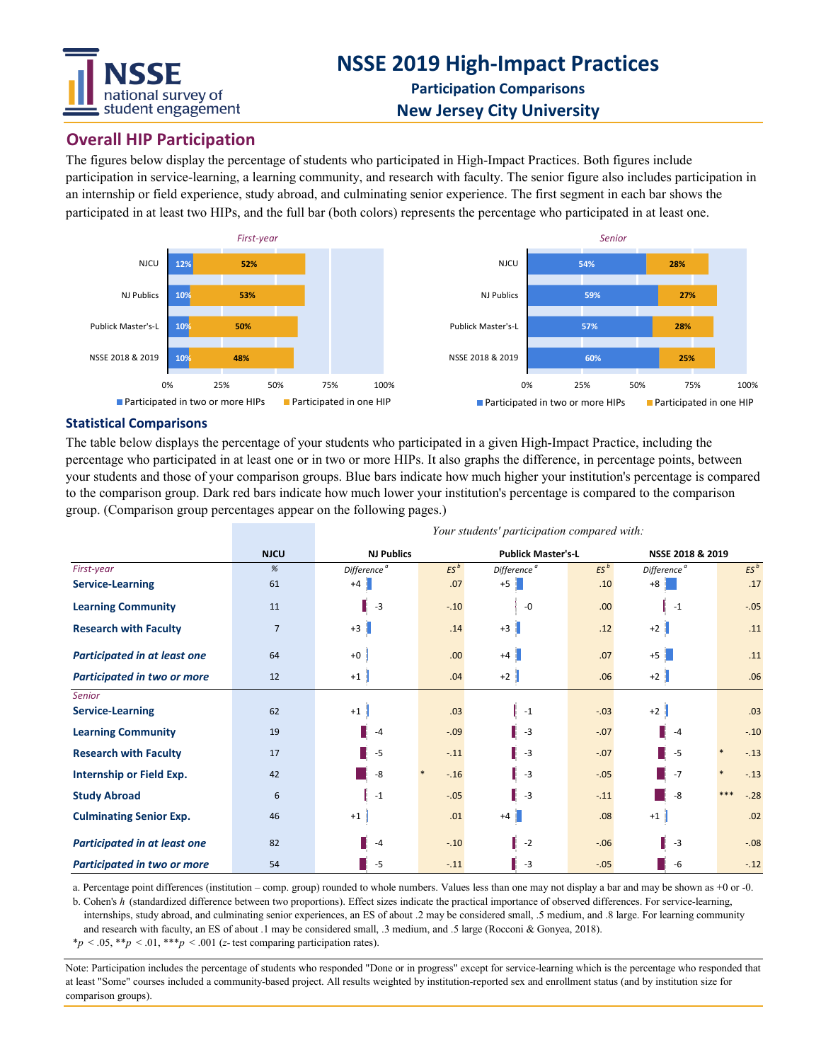

## **Overall HIP Participation**

The figures below display the percentage of students who participated in High-Impact Practices. Both figures include participation in service-learning, a learning community, and research with faculty. The senior figure also includes participation in an internship or field experience, study abroad, and culminating senior experience. The first segment in each bar shows the participated in at least two HIPs, and the full bar (both colors) represents the percentage who participated in at least one.



#### **Statistical Comparisons**

The table below displays the percentage of your students who participated in a given High-Impact Practice, including the percentage who participated in at least one or in two or more HIPs. It also graphs the difference, in percentage points, between your students and those of your comparison groups. Blue bars indicate how much higher your institution's percentage is compared to the comparison group. Dark red bars indicate how much lower your institution's percentage is compared to the comparison group. (Comparison group percentages appear on the following pages.)

|                                     | <b>NJCU</b>    | <b>NJ Publics</b>       |        | <b>Publick Master's-L</b> |        | NSSE 2018 & 2019        |                 |
|-------------------------------------|----------------|-------------------------|--------|---------------------------|--------|-------------------------|-----------------|
| First-year                          | %              | Difference <sup>ª</sup> | $ES^b$ | Difference <sup>a</sup>   | $ES^b$ | Difference <sup>a</sup> | $ES^b$          |
| <b>Service-Learning</b>             | 61             | $+4$                    | .07    | $+5$                      | .10    | $+8$                    | .17             |
| <b>Learning Community</b>           | 11             | $-3$                    | $-.10$ | $-0$                      | .00    | $-1$                    | $-.05$          |
| <b>Research with Faculty</b>        | $\overline{7}$ | $+3$                    | .14    | $+3$                      | .12    | $+2$                    | .11             |
| Participated in at least one        | 64             | $+0$                    | .00    | $+4$                      | .07    | $+5$                    | .11             |
| Participated in two or more         | 12             | $+1$                    | .04    | $+2$                      | .06    | $+2$                    | .06             |
| Senior                              |                |                         |        |                           |        |                         |                 |
| <b>Service-Learning</b>             | 62             | $+1$                    | .03    | $-1$                      | $-.03$ | $+2$                    | .03             |
| <b>Learning Community</b>           | 19             | $-4$                    | $-.09$ | $-3$                      | $-.07$ | $-4$                    | $-.10$          |
| <b>Research with Faculty</b>        | 17             | $-5$                    | $-.11$ | $\vert -3 \vert$          | $-.07$ | $-5$                    | $-.13$          |
| Internship or Field Exp.            | 42             | -8                      | $-.16$ | $-3$                      | $-.05$ | $-7$                    | $-.13$          |
| <b>Study Abroad</b>                 | 6              | $-1$                    | $-.05$ | $-3$                      | $-.11$ | -8                      | $***$<br>$-.28$ |
| <b>Culminating Senior Exp.</b>      | 46             | $+1$                    | .01    | $+4$                      | .08    | $+1$                    | .02             |
| <b>Participated in at least one</b> | 82             | $-4$                    | $-.10$ | $-2$                      | $-.06$ | $-3$                    | $-.08$          |
| Participated in two or more         | 54             | $-5$                    | $-.11$ | $-3$                      | $-.05$ | -6                      | $-.12$          |

*Your students' participation compared with:*

a. Percentage point differences (institution – comp. group) rounded to whole numbers. Values less than one may not display a bar and may be shown as +0 or -0.

b. Cohen's *h* (standardized difference between two proportions). Effect sizes indicate the practical importance of observed differences. For service-learning, internships, study abroad, and culminating senior experiences, an ES of about .2 may be considered small, .5 medium, and .8 large. For learning community and research with faculty, an ES of about .1 may be considered small, .3 medium, and .5 large (Rocconi & Gonyea, 2018).

\**p* < .05, \*\**p* < .01, \*\*\**p* < .001 (*z-*test comparing participation rates).

Note: Participation includes the percentage of students who responded "Done or in progress" except for service-learning which is the percentage who responded that at least "Some" courses included a community-based project. All results weighted by institution-reported sex and enrollment status (and by institution size for comparison groups).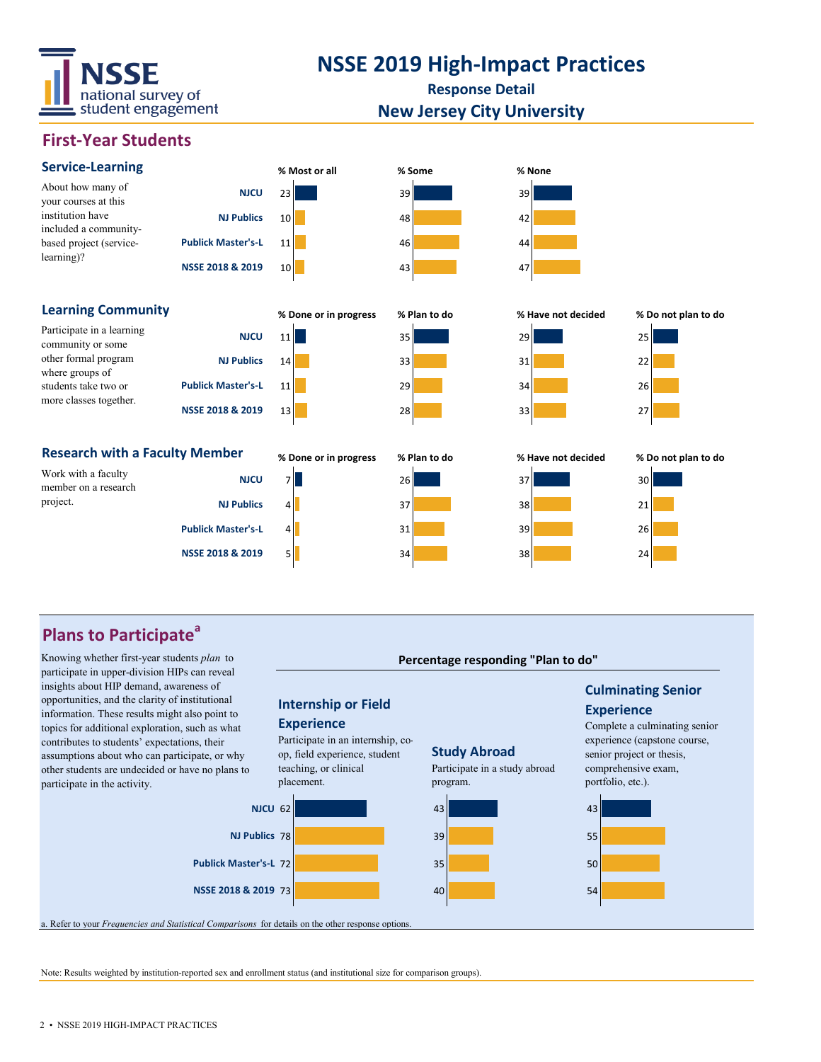

## **NSSE 2019 High-Impact Practices**

**Response Detail**

## **New Jersey City University**

## **First-Year Students**



## **Plans to Participate<sup>a</sup>**

Knowing whether first-year students *plan* to *plan* to *percentage responding "Plan to do" percentage responding "Plan to do"* participate in upper-division HIPs can reveal insights about HIP demand, awareness of opportunities, and the clarity of institutional information. These results might also point to topics for additional exploration, such as what contributes to students' expectations, their assumptions about who can participate, or why other students are undecided or have no plans to participate in the activity.

### **Internship or Field**

#### **Experience**

Participate in an internship, coop, field experience, student teaching, or clinical placement.



## **Study Abroad**

Participate in a study abroad program.



## **Culminating Senior Experience**

Complete a culminating senior experience (capstone course, senior project or thesis, comprehensive exam, portfolio, etc.).



a. Refer to your *Frequencies and Statistical Comparisons* for details on the other response options.

Note: Results weighted by institution-reported sex and enrollment status (and institutional size for comparison groups).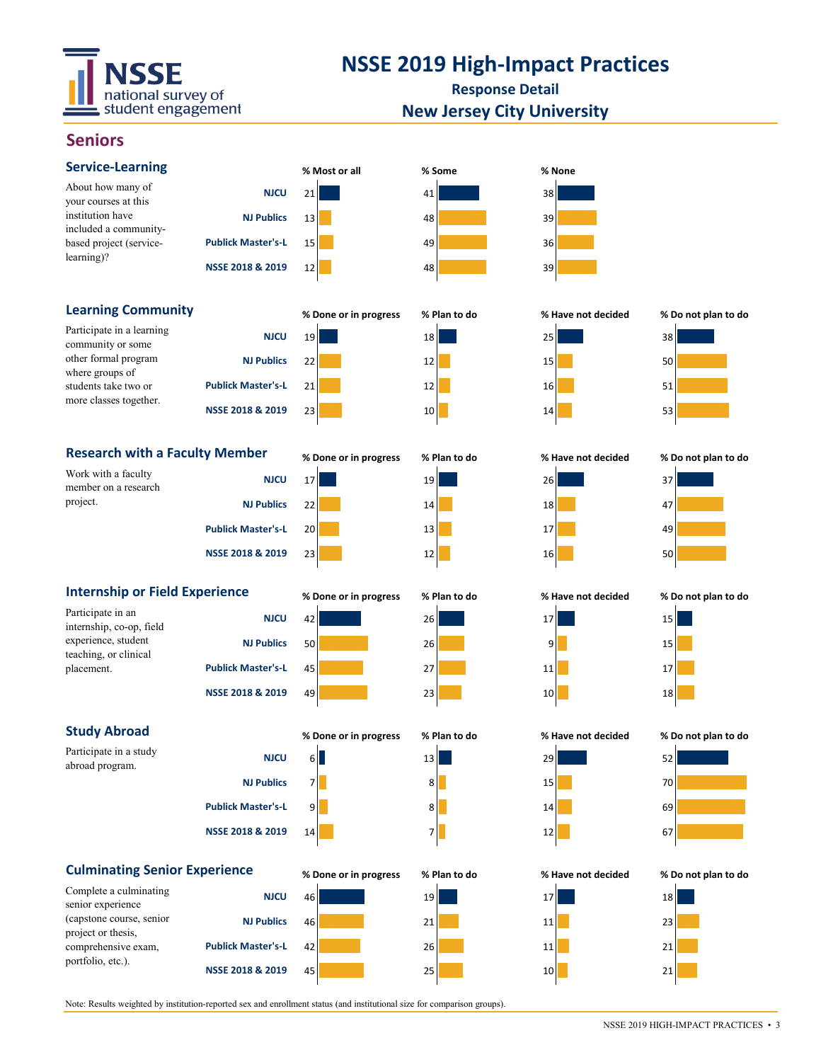

# **NSSE 2019 High-Impact Practices**

**Response Detail New Jersey City University**

## **Seniors**

| <b>Service-Learning</b>                                                                                                                     |                           | % Most or all         | % Some       | % None             |                     |
|---------------------------------------------------------------------------------------------------------------------------------------------|---------------------------|-----------------------|--------------|--------------------|---------------------|
| About how many of                                                                                                                           | <b>NJCU</b>               | 21                    | 41           | 38                 |                     |
| your courses at this<br>institution have<br>included a community-<br>based project (service-<br>learning)?                                  | <b>NJ Publics</b>         | 13                    | 48           | 39                 |                     |
|                                                                                                                                             | <b>Publick Master's-L</b> | 15                    | 49           | 36                 |                     |
|                                                                                                                                             | NSSE 2018 & 2019          | 12                    | 48           | 39                 |                     |
| <b>Learning Community</b>                                                                                                                   |                           | % Done or in progress | % Plan to do | % Have not decided | % Do not plan to do |
| Participate in a learning<br>community or some<br>other formal program<br>where groups of<br>students take two or<br>more classes together. | <b>NJCU</b>               | 19                    | 18           | 25                 | 38                  |
|                                                                                                                                             | <b>NJ Publics</b>         | 22                    | 12           | 15                 | 50                  |
|                                                                                                                                             | <b>Publick Master's-L</b> |                       |              |                    |                     |
|                                                                                                                                             |                           | 21                    | 12           | 16                 | 51                  |
|                                                                                                                                             | NSSE 2018 & 2019          | 23                    | 10           | 14                 | 53                  |
| <b>Research with a Faculty Member</b>                                                                                                       |                           | % Done or in progress | % Plan to do | % Have not decided | % Do not plan to do |
| Work with a faculty<br>member on a research<br>project.                                                                                     | <b>NJCU</b>               | 17                    | 19           | 26                 | 37                  |
|                                                                                                                                             | <b>NJ Publics</b>         | 22                    | 14           | 18                 | 47                  |
|                                                                                                                                             | <b>Publick Master's-L</b> | 20                    | 13           | 17                 | 49                  |
|                                                                                                                                             | NSSE 2018 & 2019          | 23                    | 12           | 16                 | 50                  |
| <b>Internship or Field Experience</b>                                                                                                       |                           | % Done or in progress | % Plan to do | % Have not decided | % Do not plan to do |
| Participate in an<br>internship, co-op, field<br>experience, student<br>teaching, or clinical<br>placement.                                 | <b>NJCU</b>               | 42                    | 26           | 17                 | 15                  |
|                                                                                                                                             | <b>NJ Publics</b>         | 50                    | 26           | 9                  | 15                  |
|                                                                                                                                             | <b>Publick Master's-L</b> | 45                    | 27           | 11                 | 17                  |
|                                                                                                                                             | NSSE 2018 & 2019          | 49                    | 23           | 10                 | 18                  |
| <b>Study Abroad</b>                                                                                                                         |                           | % Done or in progress | % Plan to do | % Have not decided | % Do not plan to do |
| Participate in a study<br>abroad program.                                                                                                   | <b>NJCU</b>               | $6 \blacksquare$      | 13           | 29                 | 52                  |
|                                                                                                                                             | <b>NJ Publics</b>         | 개                     | 8            | 15                 | 70                  |
|                                                                                                                                             | <b>Publick Master's-L</b> | 9                     | 8            | 14                 | 69                  |
|                                                                                                                                             | NSSE 2018 & 2019          | 14                    | 7            | 12                 | 67                  |
| <b>Culminating Senior Experience</b>                                                                                                        |                           | % Done or in progress | % Plan to do | % Have not decided | % Do not plan to do |
| Complete a culminating<br>senior experience                                                                                                 | <b>NJCU</b>               | 46                    | 19           | 17                 | 18                  |
| (capstone course, senior<br>project or thesis,<br>comprehensive exam,<br>portfolio, etc.).                                                  | <b>NJ Publics</b>         | 46                    | 21           | 11                 | 23                  |
|                                                                                                                                             | <b>Publick Master's-L</b> | 42                    | 26           | 11                 | 21                  |
|                                                                                                                                             | NSSE 2018 & 2019          | 45                    | 25           | 10                 | 21                  |

Note: Results weighted by institution-reported sex and enrollment status (and institutional size for comparison groups).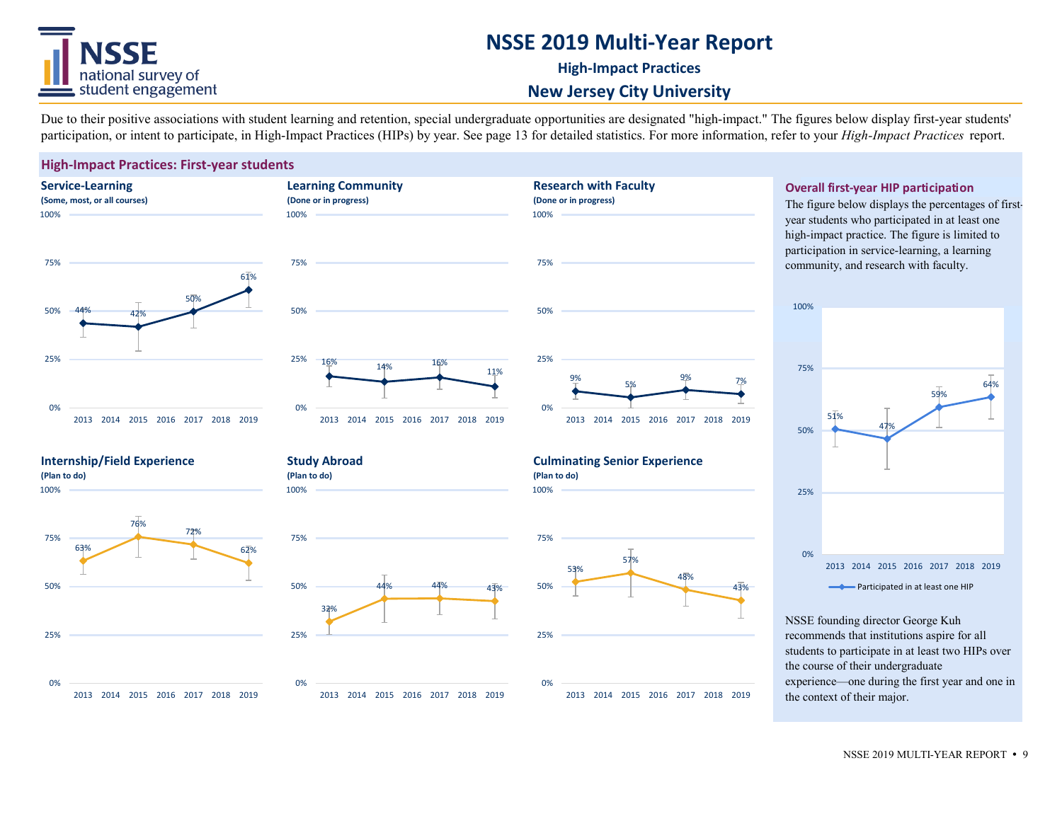## **NSSE 2019 Multi-Year Report**



#### **High-Impact Practices**

**Research with Faculty**

## **New Jersey City University**

Due to their positive associations with student learning and retention, special undergraduate opportunities are designated "high-impact." The figures below display first-year students' participation, or intent to participate, in High-Impact Practices (HIPs) by year. See page 13 for detailed statistics. For more information, refer to your *High-Impact Practices* report.

100%

#### **High-Impact Practices: First-year students**







### **Overall first-year HIP participation**

**(Done or in progress)** The figure below displays the percentages of firstyear students who participated in at least one high-impact practice. The figure is limited to participation in service-learning, a learning community, and research with faculty.



NSSE founding director George Kuh recommends that institutions aspire for all students to participate in at least two HIPs over the course of their undergraduate experience—one during the first year and one in the context of their major.

## **Internship/Field Experience (Plan to do)**

100%

0%

**Study Abroad** 



**(Plan to do)**

100%





#### **Culminating Senior Experience (Plan to do)**



2013 2014 2015 2016 2017 2018 2019